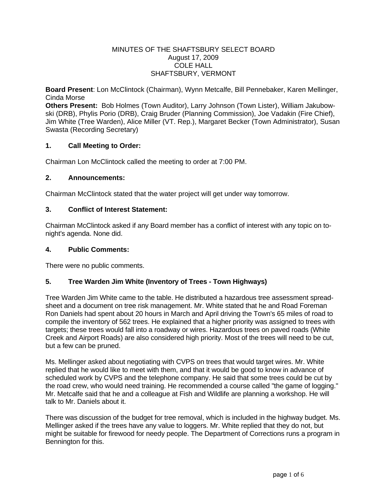#### MINUTES OF THE SHAFTSBURY SELECT BOARD August 17, 2009 COLE HALL SHAFTSBURY, VERMONT

**Board Present**: Lon McClintock (Chairman), Wynn Metcalfe, Bill Pennebaker, Karen Mellinger, Cinda Morse

**Others Present:** Bob Holmes (Town Auditor), Larry Johnson (Town Lister), William Jakubowski (DRB), Phylis Porio (DRB), Craig Bruder (Planning Commission), Joe Vadakin (Fire Chief), Jim White (Tree Warden), Alice Miller (VT. Rep.), Margaret Becker (Town Administrator), Susan Swasta (Recording Secretary)

# **1. Call Meeting to Order:**

Chairman Lon McClintock called the meeting to order at 7:00 PM.

## **2. Announcements:**

Chairman McClintock stated that the water project will get under way tomorrow.

## **3. Conflict of Interest Statement:**

Chairman McClintock asked if any Board member has a conflict of interest with any topic on tonight's agenda. None did.

#### **4. Public Comments:**

There were no public comments.

# **5. Tree Warden Jim White (Inventory of Trees - Town Highways)**

Tree Warden Jim White came to the table. He distributed a hazardous tree assessment spreadsheet and a document on tree risk management. Mr. White stated that he and Road Foreman Ron Daniels had spent about 20 hours in March and April driving the Town's 65 miles of road to compile the inventory of 562 trees. He explained that a higher priority was assigned to trees with targets; these trees would fall into a roadway or wires. Hazardous trees on paved roads (White Creek and Airport Roads) are also considered high priority. Most of the trees will need to be cut, but a few can be pruned.

Ms. Mellinger asked about negotiating with CVPS on trees that would target wires. Mr. White replied that he would like to meet with them, and that it would be good to know in advance of scheduled work by CVPS and the telephone company. He said that some trees could be cut by the road crew, who would need training. He recommended a course called "the game of logging." Mr. Metcalfe said that he and a colleague at Fish and Wildlife are planning a workshop. He will talk to Mr. Daniels about it.

There was discussion of the budget for tree removal, which is included in the highway budget. Ms. Mellinger asked if the trees have any value to loggers. Mr. White replied that they do not, but might be suitable for firewood for needy people. The Department of Corrections runs a program in Bennington for this.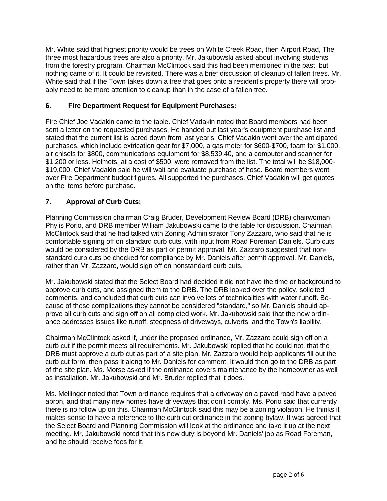Mr. White said that highest priority would be trees on White Creek Road, then Airport Road, The three most hazardous trees are also a priority. Mr. Jakubowski asked about involving students from the forestry program. Chairman McClintock said this had been mentioned in the past, but nothing came of it. It could be revisited. There was a brief discussion of cleanup of fallen trees. Mr. White said that if the Town takes down a tree that goes onto a resident's property there will probably need to be more attention to cleanup than in the case of a fallen tree.

# **6. Fire Department Request for Equipment Purchases:**

Fire Chief Joe Vadakin came to the table. Chief Vadakin noted that Board members had been sent a letter on the requested purchases. He handed out last year's equipment purchase list and stated that the current list is pared down from last year's. Chief Vadakin went over the anticipated purchases, which include extrication gear for \$7,000, a gas meter for \$600-\$700, foam for \$1,000, air chisels for \$800, communications equipment for \$8,539.40, and a computer and scanner for \$1,200 or less. Helmets, at a cost of \$500, were removed from the list. The total will be \$18,000- \$19,000. Chief Vadakin said he will wait and evaluate purchase of hose. Board members went over Fire Department budget figures. All supported the purchases. Chief Vadakin will get quotes on the items before purchase.

# **7. Approval of Curb Cuts:**

Planning Commission chairman Craig Bruder, Development Review Board (DRB) chairwoman Phylis Porio, and DRB member William Jakubowski came to the table for discussion. Chairman McClintock said that he had talked with Zoning Administrator Tony Zazzaro, who said that he is comfortable signing off on standard curb cuts, with input from Road Foreman Daniels. Curb cuts would be considered by the DRB as part of permit approval. Mr. Zazzaro suggested that nonstandard curb cuts be checked for compliance by Mr. Daniels after permit approval. Mr. Daniels, rather than Mr. Zazzaro, would sign off on nonstandard curb cuts.

Mr. Jakubowski stated that the Select Board had decided it did not have the time or background to approve curb cuts, and assigned them to the DRB. The DRB looked over the policy, solicited comments, and concluded that curb cuts can involve lots of technicalities with water runoff. Because of these complications they cannot be considered "standard," so Mr. Daniels should approve all curb cuts and sign off on all completed work. Mr. Jakubowski said that the new ordinance addresses issues like runoff, steepness of driveways, culverts, and the Town's liability.

Chairman McClintock asked if, under the proposed ordinance, Mr. Zazzaro could sign off on a curb cut if the permit meets all requirements. Mr. Jakubowski replied that he could not, that the DRB must approve a curb cut as part of a site plan. Mr. Zazzaro would help applicants fill out the curb cut form, then pass it along to Mr. Daniels for comment. It would then go to the DRB as part of the site plan. Ms. Morse asked if the ordinance covers maintenance by the homeowner as well as installation. Mr. Jakubowski and Mr. Bruder replied that it does.

Ms. Mellinger noted that Town ordinance requires that a driveway on a paved road have a paved apron, and that many new homes have driveways that don't comply. Ms. Porio said that currently there is no follow up on this. Chairman McClintock said this may be a zoning violation. He thinks it makes sense to have a reference to the curb cut ordinance in the zoning bylaw. It was agreed that the Select Board and Planning Commission will look at the ordinance and take it up at the next meeting. Mr. Jakubowski noted that this new duty is beyond Mr. Daniels' job as Road Foreman, and he should receive fees for it.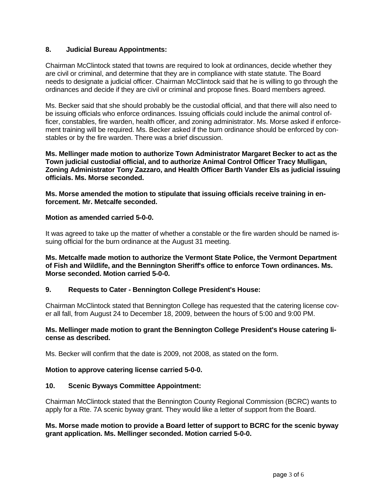# **8. Judicial Bureau Appointments:**

Chairman McClintock stated that towns are required to look at ordinances, decide whether they are civil or criminal, and determine that they are in compliance with state statute. The Board needs to designate a judicial officer. Chairman McClintock said that he is willing to go through the ordinances and decide if they are civil or criminal and propose fines. Board members agreed.

Ms. Becker said that she should probably be the custodial official, and that there will also need to be issuing officials who enforce ordinances. Issuing officials could include the animal control officer, constables, fire warden, health officer, and zoning administrator. Ms. Morse asked if enforcement training will be required. Ms. Becker asked if the burn ordinance should be enforced by constables or by the fire warden. There was a brief discussion.

**Ms. Mellinger made motion to authorize Town Administrator Margaret Becker to act as the Town judicial custodial official, and to authorize Animal Control Officer Tracy Mulligan, Zoning Administrator Tony Zazzaro, and Health Officer Barth Vander Els as judicial issuing officials. Ms. Morse seconded.** 

**Ms. Morse amended the motion to stipulate that issuing officials receive training in enforcement. Mr. Metcalfe seconded.**

## **Motion as amended carried 5-0-0.**

It was agreed to take up the matter of whether a constable or the fire warden should be named issuing official for the burn ordinance at the August 31 meeting.

**Ms. Metcalfe made motion to authorize the Vermont State Police, the Vermont Department of Fish and Wildlife, and the Bennington Sheriff's office to enforce Town ordinances. Ms. Morse seconded. Motion carried 5-0-0.** 

#### **9. Requests to Cater - Bennington College President's House:**

Chairman McClintock stated that Bennington College has requested that the catering license cover all fall, from August 24 to December 18, 2009, between the hours of 5:00 and 9:00 PM.

#### **Ms. Mellinger made motion to grant the Bennington College President's House catering license as described.**

Ms. Becker will confirm that the date is 2009, not 2008, as stated on the form.

#### **Motion to approve catering license carried 5-0-0.**

#### **10. Scenic Byways Committee Appointment:**

Chairman McClintock stated that the Bennington County Regional Commission (BCRC) wants to apply for a Rte. 7A scenic byway grant. They would like a letter of support from the Board.

#### **Ms. Morse made motion to provide a Board letter of support to BCRC for the scenic byway grant application. Ms. Mellinger seconded. Motion carried 5-0-0.**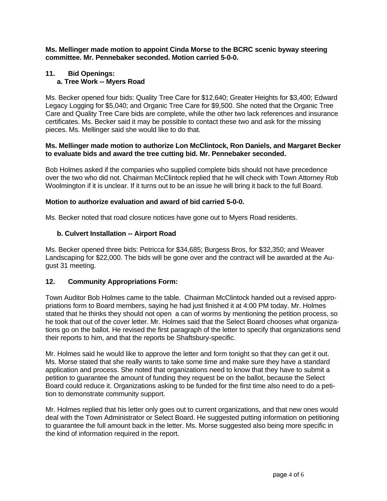**Ms. Mellinger made motion to appoint Cinda Morse to the BCRC scenic byway steering committee. Mr. Pennebaker seconded. Motion carried 5-0-0.** 

# **11. Bid Openings: a. Tree Work -- Myers Road**

Ms. Becker opened four bids: Quality Tree Care for \$12,640; Greater Heights for \$3,400; Edward Legacy Logging for \$5,040; and Organic Tree Care for \$9,500. She noted that the Organic Tree Care and Quality Tree Care bids are complete, while the other two lack references and insurance certificates. Ms. Becker said it may be possible to contact these two and ask for the missing pieces. Ms. Mellinger said she would like to do that.

# **Ms. Mellinger made motion to authorize Lon McClintock, Ron Daniels, and Margaret Becker to evaluate bids and award the tree cutting bid. Mr. Pennebaker seconded.**

Bob Holmes asked if the companies who supplied complete bids should not have precedence over the two who did not. Chairman McClintock replied that he will check with Town Attorney Rob Woolmington if it is unclear. If it turns out to be an issue he will bring it back to the full Board.

# **Motion to authorize evaluation and award of bid carried 5-0-0.**

Ms. Becker noted that road closure notices have gone out to Myers Road residents.

# **b. Culvert Installation -- Airport Road**

Ms. Becker opened three bids: Petricca for \$34,685; Burgess Bros, for \$32,350; and Weaver Landscaping for \$22,000. The bids will be gone over and the contract will be awarded at the August 31 meeting.

# **12. Community Appropriations Form:**

Town Auditor Bob Holmes came to the table. Chairman McClintock handed out a revised appropriations form to Board members, saying he had just finished it at 4:00 PM today. Mr. Holmes stated that he thinks they should not open a can of worms by mentioning the petition process, so he took that out of the cover letter. Mr. Holmes said that the Select Board chooses what organizations go on the ballot. He revised the first paragraph of the letter to specify that organizations send their reports to him, and that the reports be Shaftsbury-specific.

Mr. Holmes said he would like to approve the letter and form tonight so that they can get it out. Ms. Morse stated that she really wants to take some time and make sure they have a standard application and process. She noted that organizations need to know that they have to submit a petition to guarantee the amount of funding they request be on the ballot, because the Select Board could reduce it. Organizations asking to be funded for the first time also need to do a petition to demonstrate community support.

Mr. Holmes replied that his letter only goes out to current organizations, and that new ones would deal with the Town Administrator or Select Board. He suggested putting information on petitioning to guarantee the full amount back in the letter. Ms. Morse suggested also being more specific in the kind of information required in the report.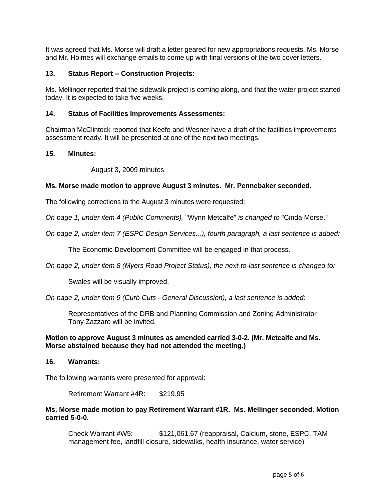It was agreed that Ms. Morse will draft a letter geared for new appropriations requests. Ms. Morse and Mr. Holmes will exchange emails to come up with final versions of the two cover letters.

# **13. Status Report -- Construction Projects:**

Ms. Mellinger reported that the sidewalk project is coming along, and that the water project started today. It is expected to take five weeks.

#### **14. Status of Facilities Improvements Assessments:**

Chairman McClintock reported that Keefe and Wesner have a draft of the facilities improvements assessment ready. It will be presented at one of the next two meetings.

#### **15. Minutes:**

## August 3, 2009 minutes

## **Ms. Morse made motion to approve August 3 minutes. Mr. Pennebaker seconded.**

The following corrections to the August 3 minutes were requested:

*On page 1, under item 4 (Public Comments),* "Wynn Metcalfe" *is changed to* "Cinda Morse."

*On page 2, under item 7 (ESPC Design Services...), fourth paragraph, a last sentence is added:*

The Economic Development Committee will be engaged in that process.

*On page 2, under item 8 (Myers Road Project Status), the next-to-last sentence is changed to:*

Swales will be visually improved.

*On page 2, under item 9 (Curb Cuts - General Discussion), a last sentence is added:*

Representatives of the DRB and Planning Commission and Zoning Administrator Tony Zazzaro will be invited.

## **Motion to approve August 3 minutes as amended carried 3-0-2. (Mr. Metcalfe and Ms. Morse abstained because they had not attended the meeting.)**

**16. Warrants:**

The following warrants were presented for approval:

Retirement Warrant #4R: \$219.95

## **Ms. Morse made motion to pay Retirement Warrant #1R. Ms. Mellinger seconded. Motion carried 5-0-0.**

Check Warrant #W5: \$121,061.67 (reappraisal, Calcium, stone, ESPC, TAM management fee, landfill closure, sidewalks, health insurance, water service)